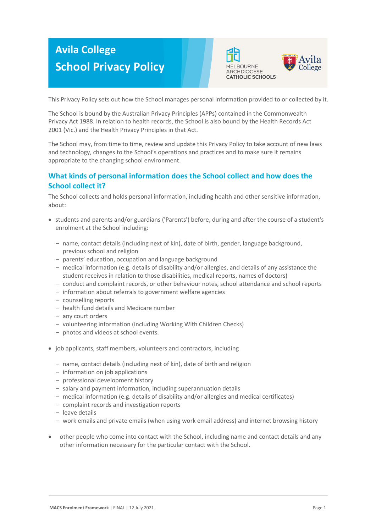# **Avila College School Privacy Policy**





This Privacy Policy sets out how the School manages personal information provided to or collected by it.

The School is bound by the Australian Privacy Principles (APPs) contained in the Commonwealth Privacy Act 1988. In relation to health records, the School is also bound by the Health Records Act 2001 (Vic.) and the Health Privacy Principles in that Act.

The School may, from time to time, review and update this Privacy Policy to take account of new laws and technology, changes to the School's operations and practices and to make sure it remains appropriate to the changing school environment.

# **What kinds of personal information does the School collect and how does the School collect it?**

The School collects and holds personal information, including health and other sensitive information, about:

- students and parents and/or guardians ('Parents') before, during and after the course of a student's enrolment at the School including:
	- name, contact details (including next of kin), date of birth, gender, language background, previous school and religion
	- parents' education, occupation and language background
	- medical information (e.g. details of disability and/or allergies, and details of any assistance the student receives in relation to those disabilities, medical reports, names of doctors)
	- conduct and complaint records, or other behaviour notes, school attendance and school reports
	- information about referrals to government welfare agencies
	- counselling reports
	- health fund details and Medicare number
	- any court orders
	- volunteering information (including Working With Children Checks)
	- photos and videos at school events.
- job applicants, staff members, volunteers and contractors, including
	- name, contact details (including next of kin), date of birth and religion
	- information on job applications
	- professional development history
	- salary and payment information, including superannuation details
	- medical information (e.g. details of disability and/or allergies and medical certificates)
	- complaint records and investigation reports
	- leave details
	- work emails and private emails (when using work email address) and internet browsing history
- other people who come into contact with the School, including name and contact details and any other information necessary for the particular contact with the School.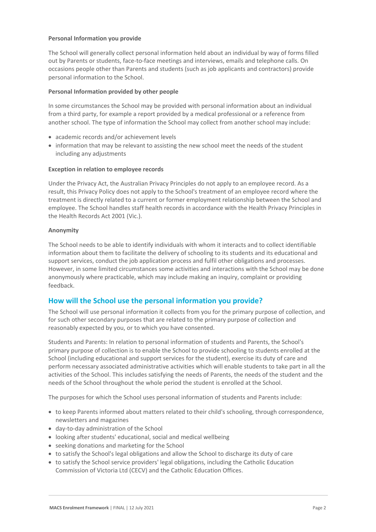# **Personal Information you provide**

The School will generally collect personal information held about an individual by way of forms filled out by Parents or students, face-to-face meetings and interviews, emails and telephone calls. On occasions people other than Parents and students (such as job applicants and contractors) provide personal information to the School.

# **Personal Information provided by other people**

In some circumstances the School may be provided with personal information about an individual from a third party, for example a report provided by a medical professional or a reference from another school. The type of information the School may collect from another school may include:

- academic records and/or achievement levels
- information that may be relevant to assisting the new school meet the needs of the student including any adjustments

# **Exception in relation to employee records**

Under the Privacy Act, the Australian Privacy Principles do not apply to an employee record. As a result, this Privacy Policy does not apply to the School's treatment of an employee record where the treatment is directly related to a current or former employment relationship between the School and employee. The School handles staff health records in accordance with the Health Privacy Principles in the Health Records Act 2001 (Vic.).

# **Anonymity**

The School needs to be able to identify individuals with whom it interacts and to collect identifiable information about them to facilitate the delivery of schooling to its students and its educational and support services, conduct the job application process and fulfil other obligations and processes. However, in some limited circumstances some activities and interactions with the School may be done anonymously where practicable, which may include making an inquiry, complaint or providing feedback.

# **How will the School use the personal information you provide?**

The School will use personal information it collects from you for the primary purpose of collection, and for such other secondary purposes that are related to the primary purpose of collection and reasonably expected by you, or to which you have consented.

Students and Parents: In relation to personal information of students and Parents, the School's primary purpose of collection is to enable the School to provide schooling to students enrolled at the School (including educational and support services for the student), exercise its duty of care and perform necessary associated administrative activities which will enable students to take part in all the activities of the School. This includes satisfying the needs of Parents, the needs of the student and the needs of the School throughout the whole period the student is enrolled at the School.

The purposes for which the School uses personal information of students and Parents include:

- to keep Parents informed about matters related to their child's schooling, through correspondence, newsletters and magazines
- day-to-day administration of the School
- looking after students' educational, social and medical wellbeing
- seeking donations and marketing for the School
- to satisfy the School's legal obligations and allow the School to discharge its duty of care
- to satisfy the School service providers' legal obligations, including the Catholic Education Commission of Victoria Ltd (CECV) and the Catholic Education Offices.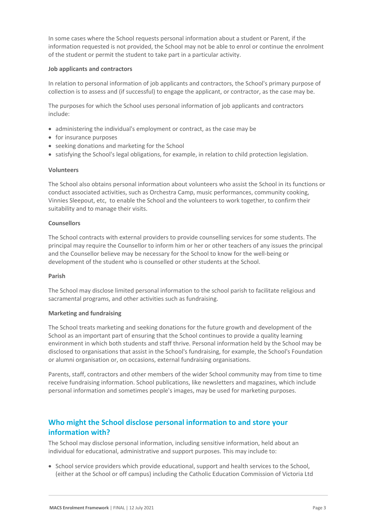In some cases where the School requests personal information about a student or Parent, if the information requested is not provided, the School may not be able to enrol or continue the enrolment of the student or permit the student to take part in a particular activity.

# **Job applicants and contractors**

In relation to personal information of job applicants and contractors, the School's primary purpose of collection is to assess and (if successful) to engage the applicant, or contractor, as the case may be.

The purposes for which the School uses personal information of job applicants and contractors include:

- administering the individual's employment or contract, as the case may be
- for insurance purposes
- seeking donations and marketing for the School
- satisfying the School's legal obligations, for example, in relation to child protection legislation.

# **Volunteers**

The School also obtains personal information about volunteers who assist the School in its functions or conduct associated activities, such as Orchestra Camp, music performances, community cooking, Vinnies Sleepout, etc, to enable the School and the volunteers to work together, to confirm their suitability and to manage their visits.

# **Counsellors**

The School contracts with external providers to provide counselling services for some students. The principal may require the Counsellor to inform him or her or other teachers of any issues the principal and the Counsellor believe may be necessary for the School to know for the well-being or development of the student who is counselled or other students at the School.

#### **Parish**

The School may disclose limited personal information to the school parish to facilitate religious and sacramental programs, and other activities such as fundraising.

#### **Marketing and fundraising**

The School treats marketing and seeking donations for the future growth and development of the School as an important part of ensuring that the School continues to provide a quality learning environment in which both students and staff thrive. Personal information held by the School may be disclosed to organisations that assist in the School's fundraising, for example, the School's Foundation or alumni organisation or, on occasions, external fundraising organisations.

Parents, staff, contractors and other members of the wider School community may from time to time receive fundraising information. School publications, like newsletters and magazines, which include personal information and sometimes people's images, may be used for marketing purposes.

# **Who might the School disclose personal information to and store your information with?**

The School may disclose personal information, including sensitive information, held about an individual for educational, administrative and support purposes. This may include to:

• School service providers which provide educational, support and health services to the School, (either at the School or off campus) including the Catholic Education Commission of Victoria Ltd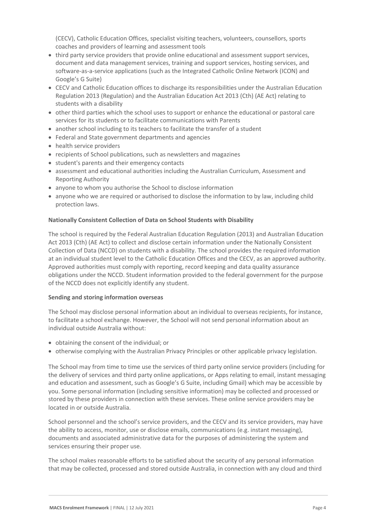(CECV), Catholic Education Offices, specialist visiting teachers, volunteers, counsellors, sports coaches and providers of learning and assessment tools

- third party service providers that provide online educational and assessment support services, document and data management services, training and support services, hosting services, and software-as-a-service applications (such as the Integrated Catholic Online Network (ICON) and Google's G Suite)
- CECV and Catholic Education offices to discharge its responsibilities under the Australian Education Regulation 2013 (Regulation) and the Australian Education Act 2013 (Cth) (AE Act) relating to students with a disability
- other third parties which the school uses to support or enhance the educational or pastoral care services for its students or to facilitate communications with Parents
- another school including to its teachers to facilitate the transfer of a student
- Federal and State government departments and agencies
- health service providers
- recipients of School publications, such as newsletters and magazines
- student's parents and their emergency contacts
- assessment and educational authorities including the Australian Curriculum, Assessment and Reporting Authority
- anyone to whom you authorise the School to disclose information
- anyone who we are required or authorised to disclose the information to by law, including child protection laws.

#### **Nationally Consistent Collection of Data on School Students with Disability**

The school is required by the Federal Australian Education Regulation (2013) and Australian Education Act 2013 (Cth) (AE Act) to collect and disclose certain information under the Nationally Consistent Collection of Data (NCCD) on students with a disability. The school provides the required information at an individual student level to the Catholic Education Offices and the CECV, as an approved authority. Approved authorities must comply with reporting, record keeping and data quality assurance obligations under the NCCD. Student information provided to the federal government for the purpose of the NCCD does not explicitly identify any student.

#### **Sending and storing information overseas**

The School may disclose personal information about an individual to overseas recipients, for instance, to facilitate a school exchange. However, the School will not send personal information about an individual outside Australia without:

- obtaining the consent of the individual; or
- otherwise complying with the Australian Privacy Principles or other applicable privacy legislation.

The School may from time to time use the services of third party online service providers (including for the delivery of services and third party online applications, or Apps relating to email, instant messaging and education and assessment, such as Google's G Suite, including Gmail) which may be accessible by you. Some personal information (including sensitive information) may be collected and processed or stored by these providers in connection with these services. These online service providers may be located in or outside Australia.

School personnel and the school's service providers, and the CECV and its service providers, may have the ability to access, monitor, use or disclose emails, communications (e.g. instant messaging), documents and associated administrative data for the purposes of administering the system and services ensuring their proper use.

The school makes reasonable efforts to be satisfied about the security of any personal information that may be collected, processed and stored outside Australia, in connection with any cloud and third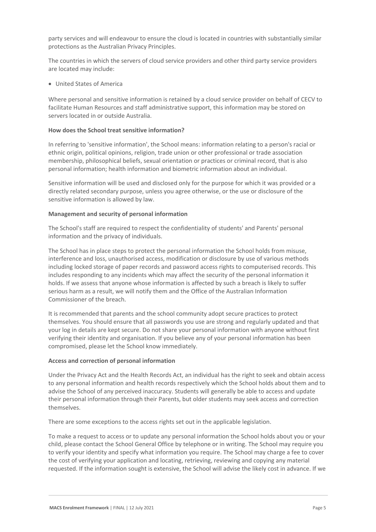party services and will endeavour to ensure the cloud is located in countries with substantially similar protections as the Australian Privacy Principles.

The countries in which the servers of cloud service providers and other third party service providers are located may include:

• United States of America

Where personal and sensitive information is retained by a cloud service provider on behalf of CECV to facilitate Human Resources and staff administrative support, this information may be stored on servers located in or outside Australia.

# **How does the School treat sensitive information?**

In referring to 'sensitive information', the School means: information relating to a person's racial or ethnic origin, political opinions, religion, trade union or other professional or trade association membership, philosophical beliefs, sexual orientation or practices or criminal record, that is also personal information; health information and biometric information about an individual.

Sensitive information will be used and disclosed only for the purpose for which it was provided or a directly related secondary purpose, unless you agree otherwise, or the use or disclosure of the sensitive information is allowed by law.

# **Management and security of personal information**

The School's staff are required to respect the confidentiality of students' and Parents' personal information and the privacy of individuals.

The School has in place steps to protect the personal information the School holds from misuse, interference and loss, unauthorised access, modification or disclosure by use of various methods including locked storage of paper records and password access rights to computerised records. This includes responding to any incidents which may affect the security of the personal information it holds. If we assess that anyone whose information is affected by such a breach is likely to suffer serious harm as a result, we will notify them and the Office of the Australian Information Commissioner of the breach.

It is recommended that parents and the school community adopt secure practices to protect themselves. You should ensure that all passwords you use are strong and regularly updated and that your log in details are kept secure. Do not share your personal information with anyone without first verifying their identity and organisation. If you believe any of your personal information has been compromised, please let the School know immediately.

#### **Access and correction of personal information**

Under the Privacy Act and the Health Records Act, an individual has the right to seek and obtain access to any personal information and health records respectively which the School holds about them and to advise the School of any perceived inaccuracy. Students will generally be able to access and update their personal information through their Parents, but older students may seek access and correction themselves.

There are some exceptions to the access rights set out in the applicable legislation.

To make a request to access or to update any personal information the School holds about you or your child, please contact the School General Office by telephone or in writing. The School may require you to verify your identity and specify what information you require. The School may charge a fee to cover the cost of verifying your application and locating, retrieving, reviewing and copying any material requested. If the information sought is extensive, the School will advise the likely cost in advance. If we